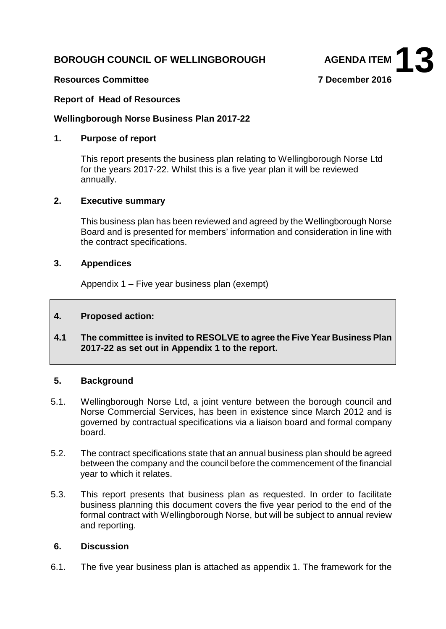# **BOROUGH COUNCIL OF WELLINGBOROUGH AGENDA ITEM**



## **Resources Committee 7 December 2016**

## **Report of Head of Resources**

#### **Wellingborough Norse Business Plan 2017-22**

#### **1. Purpose of report**

This report presents the business plan relating to Wellingborough Norse Ltd for the years 2017-22. Whilst this is a five year plan it will be reviewed annually.

## **2. Executive summary**

This business plan has been reviewed and agreed by the Wellingborough Norse Board and is presented for members' information and consideration in line with the contract specifications.

#### **3. Appendices**

Appendix 1 – Five year business plan (exempt)

## **4. Proposed action:**

**4.1 The committee is invited to RESOLVE to agree the Five Year Business Plan 2017-22 as set out in Appendix 1 to the report.**

#### **5. Background**

- 5.1. Wellingborough Norse Ltd, a joint venture between the borough council and Norse Commercial Services, has been in existence since March 2012 and is governed by contractual specifications via a liaison board and formal company board.
- 5.2. The contract specifications state that an annual business plan should be agreed between the company and the council before the commencement of the financial year to which it relates.
- 5.3. This report presents that business plan as requested. In order to facilitate business planning this document covers the five year period to the end of the formal contract with Wellingborough Norse, but will be subject to annual review and reporting.

#### **6. Discussion**

6.1. The five year business plan is attached as appendix 1. The framework for the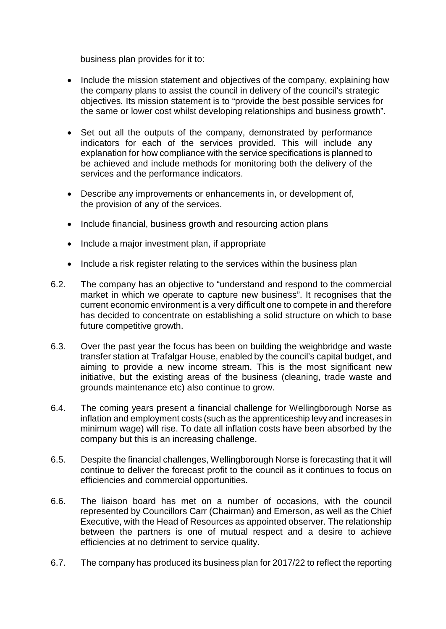business plan provides for it to:

- Include the mission statement and objectives of the company, explaining how the company plans to assist the council in delivery of the council's strategic objectives*.* Its mission statement is to "provide the best possible services for the same or lower cost whilst developing relationships and business growth".
- Set out all the outputs of the company, demonstrated by performance indicators for each of the services provided. This will include any explanation for how compliance with the service specifications is planned to be achieved and include methods for monitoring both the delivery of the services and the performance indicators.
- Describe any improvements or enhancements in, or development of, the provision of any of the services.
- Include financial, business growth and resourcing action plans
- Include a major investment plan, if appropriate
- Include a risk register relating to the services within the business plan
- 6.2. The company has an objective to "understand and respond to the commercial market in which we operate to capture new business". It recognises that the current economic environment is a very difficult one to compete in and therefore has decided to concentrate on establishing a solid structure on which to base future competitive growth.
- 6.3. Over the past year the focus has been on building the weighbridge and waste transfer station at Trafalgar House, enabled by the council's capital budget, and aiming to provide a new income stream. This is the most significant new initiative, but the existing areas of the business (cleaning, trade waste and grounds maintenance etc) also continue to grow.
- 6.4. The coming years present a financial challenge for Wellingborough Norse as inflation and employment costs (such as the apprenticeship levy and increases in minimum wage) will rise. To date all inflation costs have been absorbed by the company but this is an increasing challenge.
- 6.5. Despite the financial challenges, Wellingborough Norse is forecasting that it will continue to deliver the forecast profit to the council as it continues to focus on efficiencies and commercial opportunities.
- 6.6. The liaison board has met on a number of occasions, with the council represented by Councillors Carr (Chairman) and Emerson, as well as the Chief Executive, with the Head of Resources as appointed observer. The relationship between the partners is one of mutual respect and a desire to achieve efficiencies at no detriment to service quality.
- 6.7. The company has produced its business plan for 2017/22 to reflect the reporting